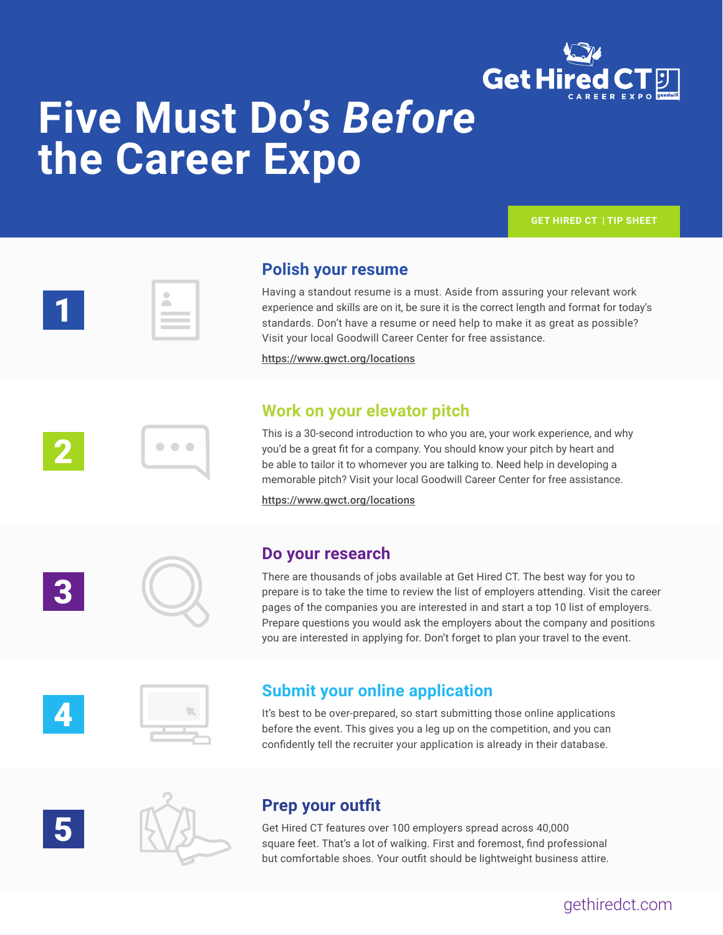

## **Five Must Do's** *Before* **the Career Expo**



 $\bullet$   $\bullet$   $\bullet$ 

1

2

3

4

5

### **Polish your resume**

Having a standout resume is a must. Aside from assuring your relevant work experience and skills are on it, be sure it is the correct length and format for today's standards. Don't have a resume or need help to make it as great as possible? Visit your local Goodwill Career Center for free assistance.

https://www.gwct.org/locations

### **Work on your elevator pitch**

This is a 30-second introduction to who you are, your work experience, and why you'd be a great fit for a company. You should know your pitch by heart and be able to tailor it to whomever you are talking to. Need help in developing a memorable pitch? Visit your local Goodwill Career Center for free assistance.

https://www.gwct.org/locations



#### **Do your research**

There are thousands of jobs available at Get Hired CT. The best way for you to prepare is to take the time to review the list of employers attending. Visit the career pages of the companies you are interested in and start a top 10 list of employers. Prepare questions you would ask the employers about the company and positions you are interested in applying for. Don't forget to plan your travel to the event.



### **Submit your online application**

It's best to be over-prepared, so start submitting those online applications before the event. This gives you a leg up on the competition, and you can confidently tell the recruiter your application is already in their database.



### **Prep your outfit**

Get Hired CT features over 100 employers spread across 40,000 square feet. That's a lot of walking. First and foremost, find professional but comfortable shoes. Your outfit should be lightweight business attire.